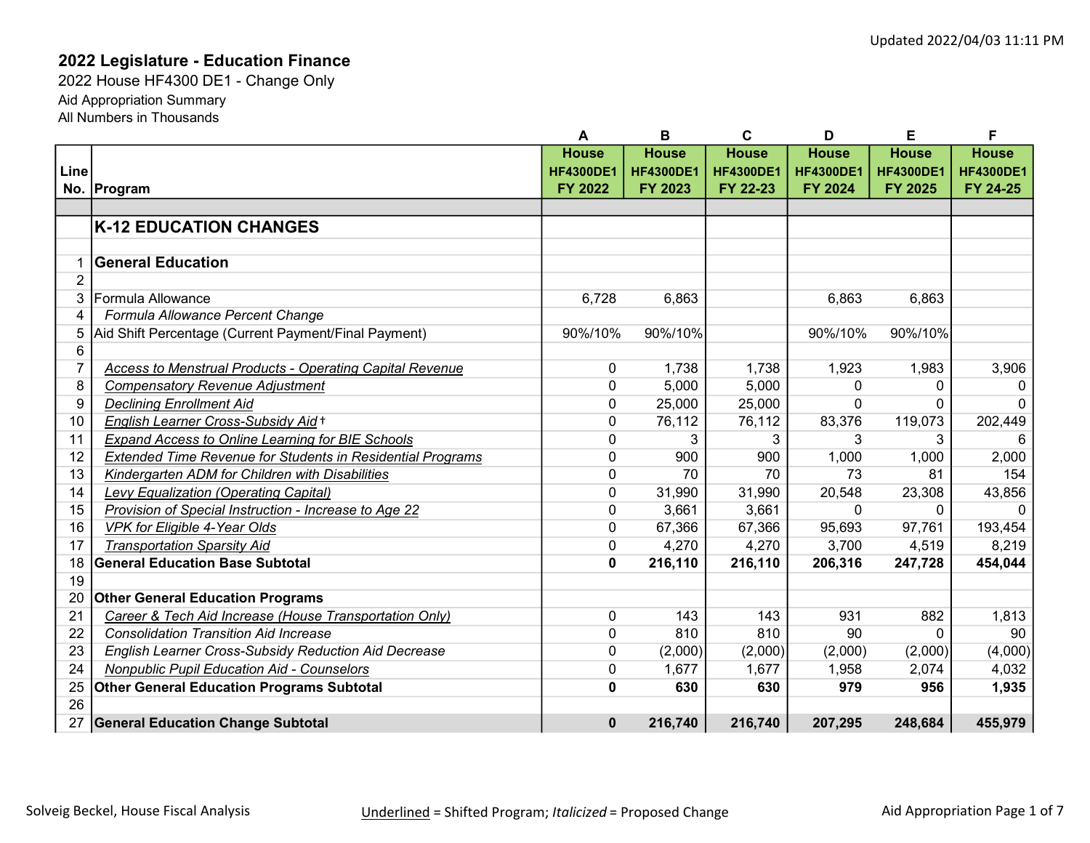|                |                                                                   | A                | B                | C                | D                | Е                | F                |
|----------------|-------------------------------------------------------------------|------------------|------------------|------------------|------------------|------------------|------------------|
|                |                                                                   | <b>House</b>     | <b>House</b>     | <b>House</b>     | <b>House</b>     | <b>House</b>     | <b>House</b>     |
| Line           |                                                                   | <b>HF4300DE1</b> | <b>HF4300DE1</b> | <b>HF4300DE1</b> | <b>HF4300DE1</b> | <b>HF4300DE1</b> | <b>HF4300DE1</b> |
|                | No. Program                                                       | FY 2022          | <b>FY 2023</b>   | FY 22-23         | FY 2024          | FY 2025          | FY 24-25         |
|                |                                                                   |                  |                  |                  |                  |                  |                  |
|                | <b>K-12 EDUCATION CHANGES</b>                                     |                  |                  |                  |                  |                  |                  |
|                |                                                                   |                  |                  |                  |                  |                  |                  |
|                | <b>General Education</b>                                          |                  |                  |                  |                  |                  |                  |
| $\overline{2}$ |                                                                   |                  |                  |                  |                  |                  |                  |
| 3              | Formula Allowance                                                 | 6,728            | 6,863            |                  | 6,863            | 6,863            |                  |
| 4              | Formula Allowance Percent Change                                  |                  |                  |                  |                  |                  |                  |
|                | Aid Shift Percentage (Current Payment/Final Payment)              | 90%/10%          | 90%/10%          |                  | 90%/10%          | 90%/10%          |                  |
| 6              |                                                                   |                  |                  |                  |                  |                  |                  |
| 7              | Access to Menstrual Products - Operating Capital Revenue          | 0                | 1,738            | 1,738            | 1,923            | 1,983            | 3,906            |
| 8              | <b>Compensatory Revenue Adjustment</b>                            | $\mathbf 0$      | 5,000            | 5,000            | 0                | $\Omega$         | 0                |
| 9              | <b>Declining Enrollment Aid</b>                                   | $\pmb{0}$        | 25,000           | 25,000           | $\mathbf 0$      | 0                | $\Omega$         |
| 10             | English Learner Cross-Subsidy Aid+                                | 0                | 76,112           | 76,112           | 83,376           | 119,073          | 202,449          |
| 11             | <b>Expand Access to Online Learning for BIE Schools</b>           | $\mathbf 0$      | 3                | 3                | 3                | 3                | 6                |
| 12             | <b>Extended Time Revenue for Students in Residential Programs</b> | 0                | 900              | 900              | 1,000            | 1,000            | 2,000            |
| 13             | Kindergarten ADM for Children with Disabilities                   | $\mathbf 0$      | 70               | 70               | 73               | 81               | 154              |
| 14             | Levy Equalization (Operating Capital)                             | $\mathbf 0$      | 31,990           | 31,990           | 20,548           | 23,308           | 43,856           |
| 15             | Provision of Special Instruction - Increase to Age 22             | $\mathbf 0$      | 3,661            | 3,661            | $\Omega$         | $\Omega$         |                  |
| 16             | <b>VPK for Eligible 4-Year Olds</b>                               | $\mathbf 0$      | 67,366           | 67,366           | 95,693           | 97,761           | 193,454          |
| 17             | <b>Transportation Sparsity Aid</b>                                | 0                | 4,270            | 4,270            | 3,700            | 4,519            | 8,219            |
| 18             | <b>General Education Base Subtotal</b>                            | $\bf{0}$         | 216,110          | 216,110          | 206,316          | 247,728          | 454,044          |
| 19             |                                                                   |                  |                  |                  |                  |                  |                  |
| 20             | <b>Other General Education Programs</b>                           |                  |                  |                  |                  |                  |                  |
| 21             | Career & Tech Aid Increase (House Transportation Only)            | 0                | 143              | 143              | 931              | 882              | 1,813            |
| 22             | <b>Consolidation Transition Aid Increase</b>                      | 0                | 810              | 810              | 90               | $\Omega$         | 90               |
| 23             | <b>English Learner Cross-Subsidy Reduction Aid Decrease</b>       | 0                | (2,000)          | (2,000)          | (2,000)          | (2,000)          | (4,000)          |
| 24             | <b>Nonpublic Pupil Education Aid - Counselors</b>                 | $\mathbf 0$      | 1,677            | 1,677            | 1,958            | 2,074            | 4,032            |
| 25             | <b>Other General Education Programs Subtotal</b>                  | $\mathbf 0$      | 630              | 630              | 979              | 956              | 1,935            |
| 26             |                                                                   |                  |                  |                  |                  |                  |                  |
| 27             | <b>General Education Change Subtotal</b>                          | $\pmb{0}$        | 216,740          | 216,740          | 207,295          | 248,684          | 455,979          |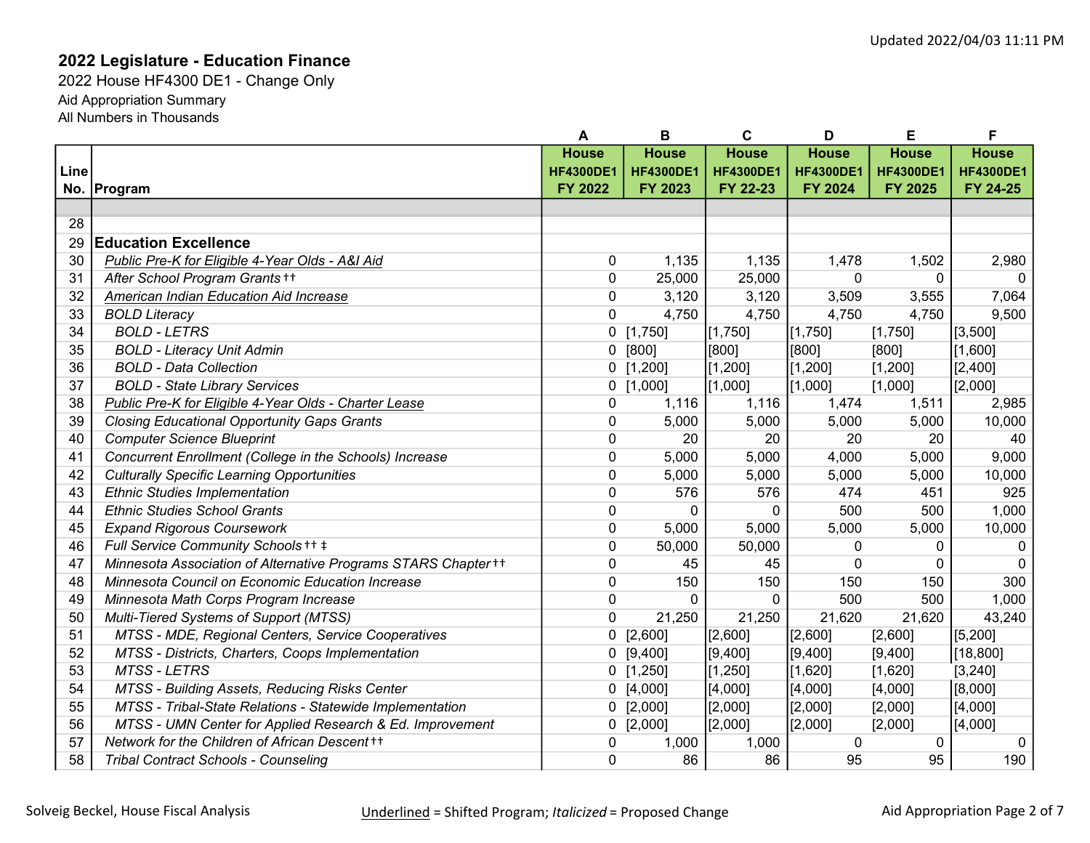|      |                                                                | A                | В                | C                | D                | Е                | F                |
|------|----------------------------------------------------------------|------------------|------------------|------------------|------------------|------------------|------------------|
|      |                                                                | <b>House</b>     | <b>House</b>     | <b>House</b>     | <b>House</b>     | <b>House</b>     | <b>House</b>     |
| Line |                                                                | <b>HF4300DE1</b> | <b>HF4300DE1</b> | <b>HF4300DE1</b> | <b>HF4300DE1</b> | <b>HF4300DE1</b> | <b>HF4300DE1</b> |
|      | No. Program                                                    | FY 2022          | FY 2023          | FY 22-23         | FY 2024          | FY 2025          | FY 24-25         |
|      |                                                                |                  |                  |                  |                  |                  |                  |
| 28   |                                                                |                  |                  |                  |                  |                  |                  |
| 29   | <b>Education Excellence</b>                                    |                  |                  |                  |                  |                  |                  |
| 30   | Public Pre-K for Eligible 4-Year Olds - A&I Aid                | 0                | 1,135            | 1,135            | 1,478            | 1,502            | 2,980            |
| 31   | After School Program Grants ++                                 | $\mathbf{0}$     | 25,000           | 25,000           | $\mathbf{0}$     | $\Omega$         | $\Omega$         |
| 32   | American Indian Education Aid Increase                         | $\mathbf{0}$     | 3,120            | 3,120            | 3,509            | 3,555            | 7,064            |
| 33   | <b>BOLD Literacy</b>                                           | 0                | 4,750            | 4,750            | 4,750            | 4,750            | 9,500            |
| 34   | <b>BOLD - LETRS</b>                                            | 0                | [1,750]          | [1,750]          | $[1,750]$        | [1,750]          | [3,500]          |
| 35   | <b>BOLD - Literacy Unit Admin</b>                              |                  | 0 [800]          | 800              | 800              | [800]            | [1,600]          |
| 36   | <b>BOLD - Data Collection</b>                                  |                  | $0$ [1,200]      | [1,200]          | $[1,200]$        | [1,200]          | [2,400]          |
| 37   | <b>BOLD - State Library Services</b>                           |                  | $0$ [1,000]      | [1,000]          | [1,000]          | [1,000]          | [2,000]          |
| 38   | Public Pre-K for Eligible 4-Year Olds - Charter Lease          | $\mathbf 0$      | 1,116            | 1,116            | 1,474            | 1,511            | 2,985            |
| 39   | <b>Closing Educational Opportunity Gaps Grants</b>             | 0                | 5,000            | 5,000            | 5,000            | 5,000            | 10,000           |
| 40   | <b>Computer Science Blueprint</b>                              | $\mathbf 0$      | 20               | 20               | 20               | 20               | 40               |
| 41   | Concurrent Enrollment (College in the Schools) Increase        | $\mathbf 0$      | 5,000            | 5,000            | 4,000            | 5,000            | 9,000            |
| 42   | <b>Culturally Specific Learning Opportunities</b>              | $\mathbf 0$      | 5,000            | 5,000            | 5,000            | 5,000            | 10,000           |
| 43   | <b>Ethnic Studies Implementation</b>                           | $\mathbf{0}$     | 576              | 576              | 474              | 451              | 925              |
| 44   | <b>Ethnic Studies School Grants</b>                            | 0                | $\mathbf{0}$     | 0                | 500              | 500              | 1,000            |
| 45   | <b>Expand Rigorous Coursework</b>                              | 0                | 5,000            | 5,000            | 5,000            | 5,000            | 10,000           |
| 46   | Full Service Community Schools ++ ‡                            | $\mathbf 0$      | 50,000           | 50,000           | $\mathbf 0$      | 0                | $\mathbf{0}$     |
| 47   | Minnesota Association of Alternative Programs STARS Chapter ++ | 0                | 45               | 45               | $\mathbf 0$      | $\mathbf{0}$     | $\Omega$         |
| 48   | Minnesota Council on Economic Education Increase               | $\mathbf 0$      | 150              | 150              | 150              | 150              | 300              |
| 49   | Minnesota Math Corps Program Increase                          | $\mathbf 0$      | $\mathbf 0$      | $\mathbf 0$      | 500              | 500              | 1,000            |
| 50   | Multi-Tiered Systems of Support (MTSS)                         | $\mathbf 0$      | 21,250           | 21,250           | 21,620           | 21,620           | 43,240           |
| 51   | MTSS - MDE, Regional Centers, Service Cooperatives             | $\mathbf{0}$     | [2,600]          | [2,600]          | [2,600]          | [2,600]          | [5, 200]         |
| 52   | MTSS - Districts, Charters, Coops Implementation               |                  | $0$ [9,400]      | [[9,400]         | [9,400]          | [9,400]          | [18, 800]        |
| 53   | <b>MTSS - LETRS</b>                                            | 0                | [1,250]          | [1, 250]         | [1,620]          | [1,620]          | [3, 240]         |
| 54   | MTSS - Building Assets, Reducing Risks Center                  |                  | $0$ [4,000]      | [[4,000]         | [4,000]          | [4,000]          | [8,000]          |
| 55   | MTSS - Tribal-State Relations - Statewide Implementation       |                  | $0$ [2,000]      | [2,000]          | [2,000]          | [2,000]          | [4,000]          |
| 56   | MTSS - UMN Center for Applied Research & Ed. Improvement       |                  | $0$ [2,000]      | [2,000]          | [2,000]          | [2,000]          | [4,000]          |
| 57   | Network for the Children of African Descent ++                 | 0                | 1,000            | 1,000            | 0                | 0                | $\mathbf 0$      |
| 58   | Tribal Contract Schools - Counseling                           | $\mathbf 0$      | 86               | 86               | 95               | 95               | 190              |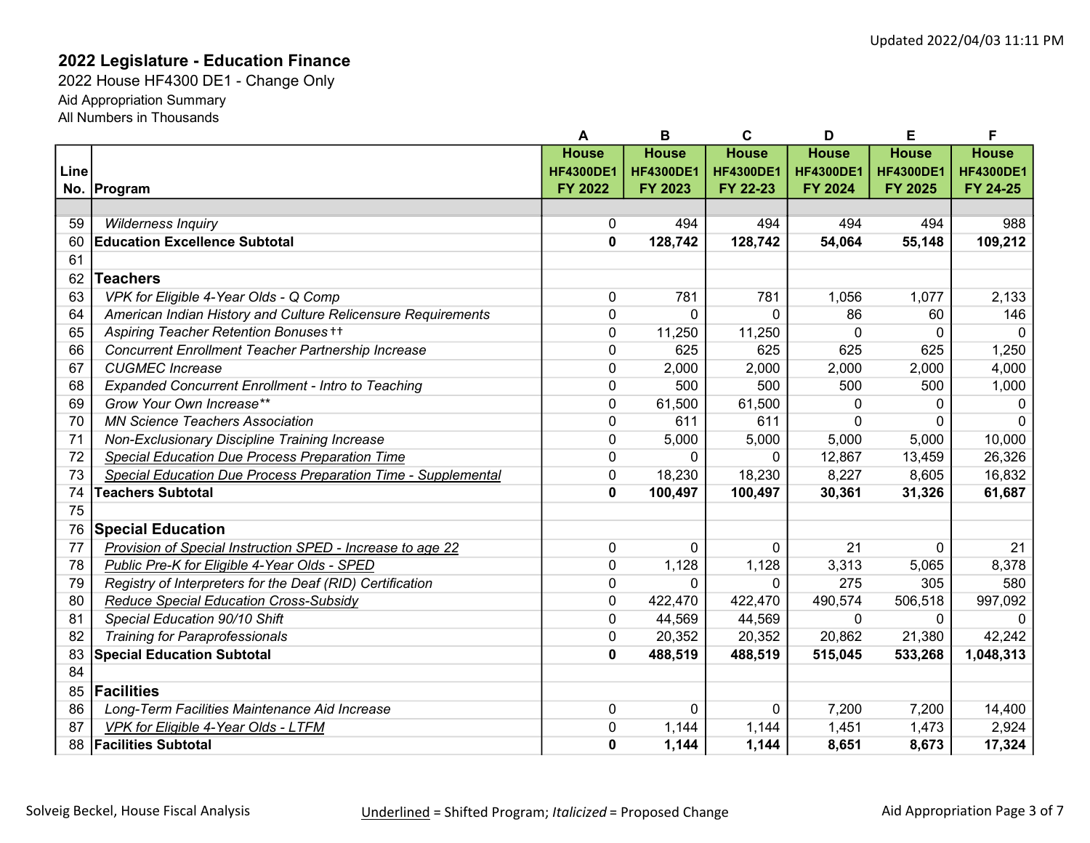|      |                                                               | A                | В                | C                | D                | Е                | F                |
|------|---------------------------------------------------------------|------------------|------------------|------------------|------------------|------------------|------------------|
|      |                                                               | <b>House</b>     | <b>House</b>     | <b>House</b>     | <b>House</b>     | <b>House</b>     | <b>House</b>     |
| Line |                                                               | <b>HF4300DE1</b> | <b>HF4300DE1</b> | <b>HF4300DE1</b> | <b>HF4300DE1</b> | <b>HF4300DE1</b> | <b>HF4300DE1</b> |
|      | No.   Program                                                 | FY 2022          | <b>FY 2023</b>   | FY 22-23         | FY 2024          | FY 2025          | FY 24-25         |
|      |                                                               |                  |                  |                  |                  |                  |                  |
| 59   | <b>Wilderness Inquiry</b>                                     | 0                | 494              | 494              | 494              | 494              | 988              |
| 60   | <b>Education Excellence Subtotal</b>                          | $\mathbf 0$      | 128,742          | 128,742          | 54,064           | 55,148           | 109,212          |
| 61   |                                                               |                  |                  |                  |                  |                  |                  |
| 62   | <b>Teachers</b>                                               |                  |                  |                  |                  |                  |                  |
| 63   | VPK for Eligible 4-Year Olds - Q Comp                         | $\pmb{0}$        | 781              | 781              | 1,056            | 1,077            | 2,133            |
| 64   | American Indian History and Culture Relicensure Requirements  | $\mathbf 0$      | $\mathbf{0}$     | $\mathbf 0$      | 86               | 60               | 146              |
| 65   | Aspiring Teacher Retention Bonuses ++                         | 0                | 11,250           | 11,250           | 0                | 0                | $\mathbf{0}$     |
| 66   | Concurrent Enrollment Teacher Partnership Increase            | $\mathbf 0$      | 625              | 625              | 625              | 625              | 1,250            |
| 67   | <b>CUGMEC</b> Increase                                        | $\pmb{0}$        | 2,000            | 2,000            | 2,000            | 2,000            | 4,000            |
| 68   | <b>Expanded Concurrent Enrollment - Intro to Teaching</b>     | $\mathbf 0$      | 500              | 500              | 500              | 500              | 1,000            |
| 69   | Grow Your Own Increase**                                      | $\pmb{0}$        | 61,500           | 61,500           | $\pmb{0}$        | 0                | $\mathbf{0}$     |
| 70   | <b>MN Science Teachers Association</b>                        | $\mathbf 0$      | 611              | 611              | $\Omega$         | $\Omega$         | $\Omega$         |
| 71   | Non-Exclusionary Discipline Training Increase                 | $\pmb{0}$        | 5,000            | 5,000            | 5,000            | 5,000            | 10,000           |
| 72   | Special Education Due Process Preparation Time                | $\mathbf 0$      | $\mathbf{0}$     | $\mathbf{0}$     | 12,867           | 13,459           | 26,326           |
| 73   | Special Education Due Process Preparation Time - Supplemental | $\mathbf 0$      | 18,230           | 18,230           | 8,227            | 8,605            | 16,832           |
| 74   | <b>Teachers Subtotal</b>                                      | $\mathbf 0$      | 100,497          | 100,497          | 30,361           | 31,326           | 61,687           |
| 75   |                                                               |                  |                  |                  |                  |                  |                  |
| 76   | <b>Special Education</b>                                      |                  |                  |                  |                  |                  |                  |
| 77   | Provision of Special Instruction SPED - Increase to age 22    | 0                | $\mathbf{0}$     | $\mathbf 0$      | 21               | $\mathbf{0}$     | 21               |
| 78   | Public Pre-K for Eligible 4-Year Olds - SPED                  | $\pmb{0}$        | 1,128            | 1,128            | 3,313            | 5,065            | 8,378            |
| 79   | Registry of Interpreters for the Deaf (RID) Certification     | $\mathbf 0$      | $\Omega$         | $\Omega$         | 275              | 305              | 580              |
| 80   | <b>Reduce Special Education Cross-Subsidy</b>                 | $\mathbf 0$      | 422,470          | 422,470          | 490,574          | 506,518          | 997,092          |
| 81   | Special Education 90/10 Shift                                 | 0                | 44,569           | 44,569           | $\mathbf{0}$     | $\Omega$         | $\Omega$         |
| 82   | <b>Training for Paraprofessionals</b>                         | $\pmb{0}$        | 20,352           | 20,352           | 20,862           | 21,380           | 42,242           |
| 83   | <b>Special Education Subtotal</b>                             | $\mathbf 0$      | 488,519          | 488,519          | 515,045          | 533,268          | 1,048,313        |
| 84   |                                                               |                  |                  |                  |                  |                  |                  |
| 85   | Facilities                                                    |                  |                  |                  |                  |                  |                  |
| 86   | Long-Term Facilities Maintenance Aid Increase                 | 0                | $\mathbf{0}$     | $\Omega$         | 7,200            | 7,200            | 14,400           |
| 87   | VPK for Eligible 4-Year Olds - LTFM                           | 0                | 1,144            | 1,144            | 1,451            | 1,473            | 2,924            |
| 88   | <b>Facilities Subtotal</b>                                    | $\mathbf 0$      | 1,144            | 1,144            | 8,651            | 8,673            | 17,324           |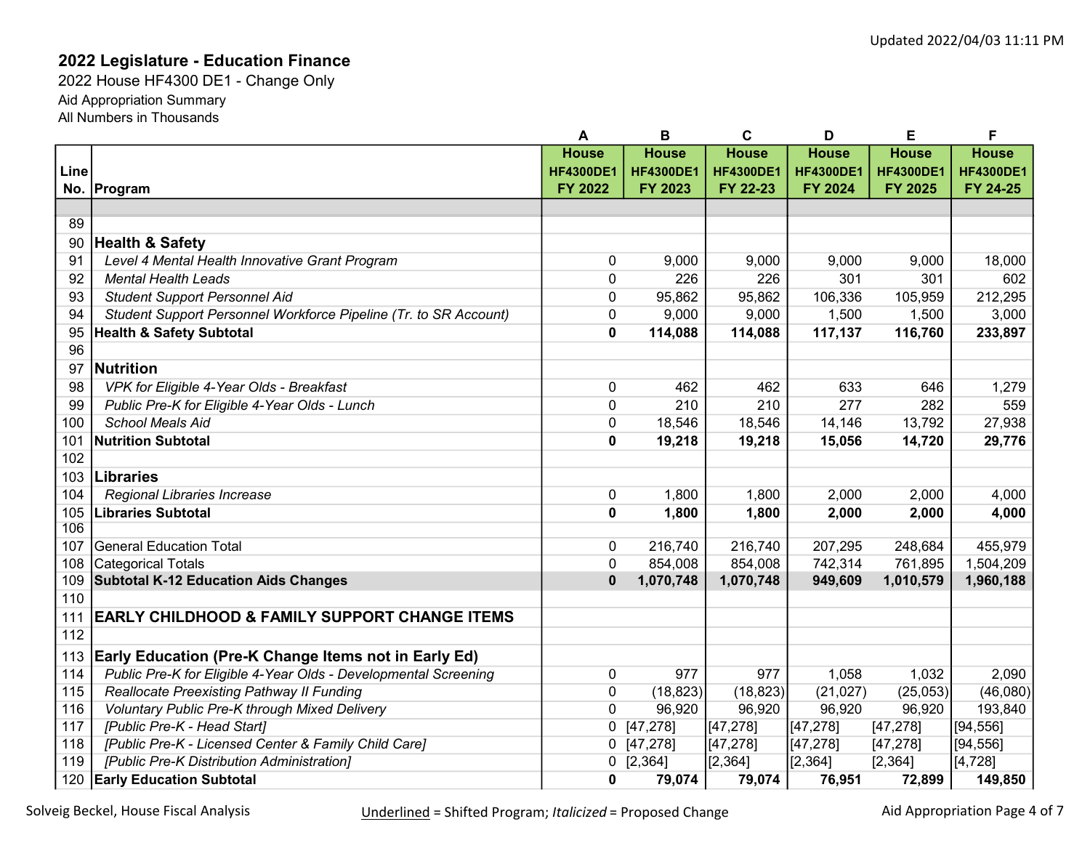|      |                                                                  | A                | в                | C                | D                | Е                | F                |
|------|------------------------------------------------------------------|------------------|------------------|------------------|------------------|------------------|------------------|
|      |                                                                  | <b>House</b>     | <b>House</b>     | <b>House</b>     | <b>House</b>     | <b>House</b>     | <b>House</b>     |
| Line |                                                                  | <b>HF4300DE1</b> | <b>HF4300DE1</b> | <b>HF4300DE1</b> | <b>HF4300DE1</b> | <b>HF4300DE1</b> | <b>HF4300DE1</b> |
|      | No. Program                                                      | <b>FY 2022</b>   | <b>FY 2023</b>   | FY 22-23         | FY 2024          | FY 2025          | FY 24-25         |
|      |                                                                  |                  |                  |                  |                  |                  |                  |
| 89   |                                                                  |                  |                  |                  |                  |                  |                  |
| 90   | <b>Health &amp; Safety</b>                                       |                  |                  |                  |                  |                  |                  |
| 91   | Level 4 Mental Health Innovative Grant Program                   | $\mathbf 0$      | 9,000            | 9,000            | 9,000            | 9,000            | 18,000           |
| 92   | <b>Mental Health Leads</b>                                       | $\mathbf 0$      | 226              | 226              | 301              | 301              | 602              |
| 93   | <b>Student Support Personnel Aid</b>                             | $\mathbf 0$      | 95,862           | 95,862           | 106,336          | 105,959          | 212,295          |
| 94   | Student Support Personnel Workforce Pipeline (Tr. to SR Account) | $\mathbf 0$      | 9,000            | 9,000            | 1,500            | 1,500            | 3,000            |
| 95   | <b>Health &amp; Safety Subtotal</b>                              | $\mathbf 0$      | 114,088          | 114,088          | 117,137          | 116,760          | 233,897          |
| 96   |                                                                  |                  |                  |                  |                  |                  |                  |
| 97   | Nutrition                                                        |                  |                  |                  |                  |                  |                  |
| 98   | VPK for Eligible 4-Year Olds - Breakfast                         | 0                | 462              | 462              | 633              | 646              | 1,279            |
| 99   | Public Pre-K for Eligible 4-Year Olds - Lunch                    | $\mathbf{0}$     | 210              | 210              | 277              | 282              | 559              |
| 100  | <b>School Meals Aid</b>                                          | $\mathbf 0$      | 18,546           | 18,546           | 14,146           | 13,792           | 27,938           |
| 101  | <b>Nutrition Subtotal</b>                                        | $\mathbf{0}$     | 19,218           | 19,218           | 15,056           | 14,720           | 29,776           |
| 102  |                                                                  |                  |                  |                  |                  |                  |                  |
| 103  | Libraries                                                        |                  |                  |                  |                  |                  |                  |
| 104  | Regional Libraries Increase                                      | 0                | 1,800            | 1,800            | 2,000            | 2,000            | 4,000            |
| 105  | <b>Libraries Subtotal</b>                                        | 0                | 1,800            | 1,800            | 2,000            | 2,000            | 4,000            |
| 106  |                                                                  |                  |                  |                  |                  |                  |                  |
| 107  | <b>General Education Total</b>                                   | 0                | 216,740          | 216,740          | 207,295          | 248,684          | 455,979          |
| 108  | <b>Categorical Totals</b>                                        | 0                | 854,008          | 854,008          | 742,314          | 761,895          | 1,504,209        |
| 109  | <b>Subtotal K-12 Education Aids Changes</b>                      | $\mathbf 0$      | 1,070,748        | 1,070,748        | 949,609          | 1,010,579        | 1,960,188        |
| 110  |                                                                  |                  |                  |                  |                  |                  |                  |
| 111  | <b>EARLY CHILDHOOD &amp; FAMILY SUPPORT CHANGE ITEMS</b>         |                  |                  |                  |                  |                  |                  |
| 112  |                                                                  |                  |                  |                  |                  |                  |                  |
| 113  | Early Education (Pre-K Change Items not in Early Ed)             |                  |                  |                  |                  |                  |                  |
| 114  | Public Pre-K for Eligible 4-Year Olds - Developmental Screening  | $\mathbf 0$      | 977              | 977              | 1,058            | 1,032            | 2,090            |
| 115  | Reallocate Preexisting Pathway II Funding                        | $\mathbf 0$      | (18, 823)        | (18, 823)        | (21, 027)        | (25,053)         | (46,080)         |
| 116  | Voluntary Public Pre-K through Mixed Delivery                    | 0                | 96,920           | 96,920           | 96,920           | 96,920           | 193,840          |
| 117  | [Public Pre-K - Head Start]                                      |                  | $0$ [47,278]     | [47, 278]        | [47,278]         | [47, 278]        | [94, 556]        |
| 118  | [Public Pre-K - Licensed Center & Family Child Care]             |                  | $0$ [47,278]     | [47, 278]        | [47,278]         | [47, 278]        | [94, 556]        |
| 119  | [Public Pre-K Distribution Administration]                       |                  | $0$ [2,364]      | [2, 364]         | [2, 364]         | [2, 364]         | [4, 728]         |
| 120  | <b>Early Education Subtotal</b>                                  | 0                | 79,074           | 79,074           | 76,951           | 72,899           | 149,850          |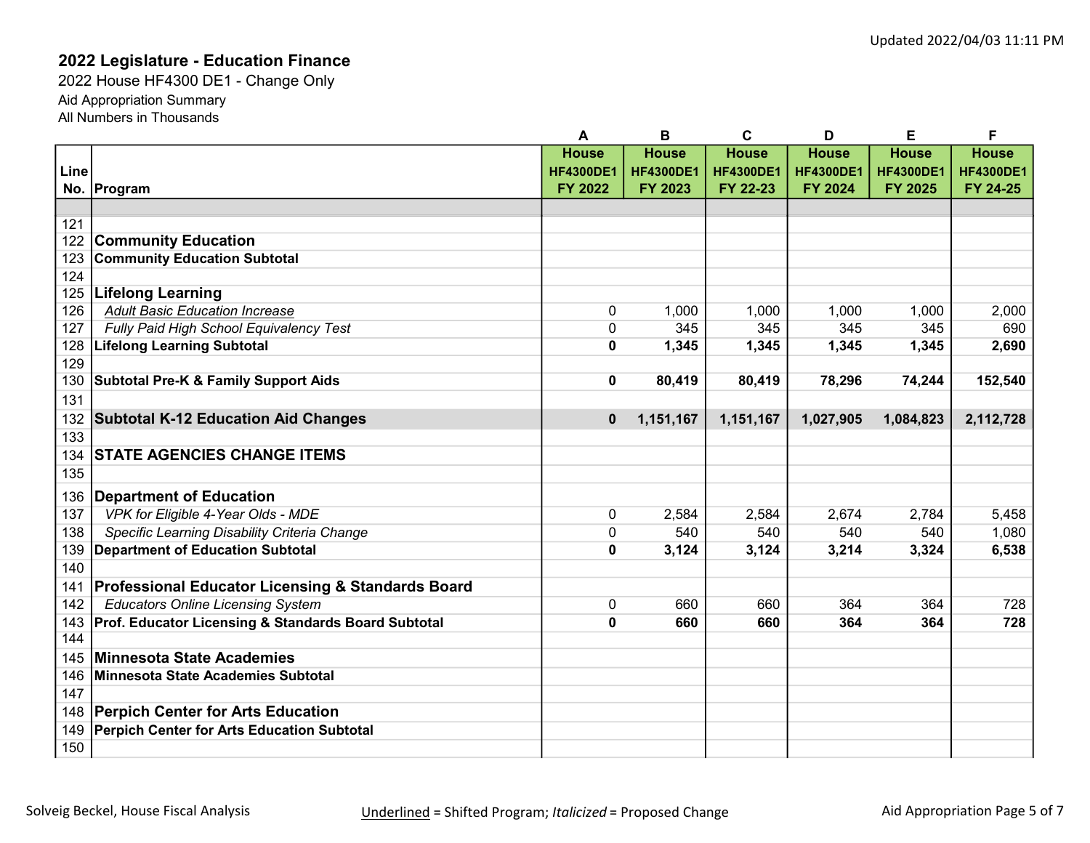|      |                                                     | A                | B                | C                | D                | E                | F                |
|------|-----------------------------------------------------|------------------|------------------|------------------|------------------|------------------|------------------|
|      |                                                     | <b>House</b>     | <b>House</b>     | <b>House</b>     | <b>House</b>     | <b>House</b>     | <b>House</b>     |
| Line |                                                     | <b>HF4300DE1</b> | <b>HF4300DE1</b> | <b>HF4300DE1</b> | <b>HF4300DE1</b> | <b>HF4300DE1</b> | <b>HF4300DE1</b> |
|      | No. Program                                         | <b>FY 2022</b>   | FY 2023          | FY 22-23         | FY 2024          | FY 2025          | FY 24-25         |
|      |                                                     |                  |                  |                  |                  |                  |                  |
| 121  |                                                     |                  |                  |                  |                  |                  |                  |
| 122  | <b>Community Education</b>                          |                  |                  |                  |                  |                  |                  |
| 123  | <b>Community Education Subtotal</b>                 |                  |                  |                  |                  |                  |                  |
| 124  |                                                     |                  |                  |                  |                  |                  |                  |
| 125  | <b>Lifelong Learning</b>                            |                  |                  |                  |                  |                  |                  |
| 126  | <b>Adult Basic Education Increase</b>               | 0                | 1,000            | 1,000            | 1,000            | 1,000            | 2,000            |
| 127  | Fully Paid High School Equivalency Test             | $\mathbf 0$      | 345              | 345              | 345              | 345              | 690              |
| 128  | <b>Lifelong Learning Subtotal</b>                   | $\mathbf 0$      | 1,345            | 1,345            | 1,345            | 1,345            | 2,690            |
| 129  |                                                     |                  |                  |                  |                  |                  |                  |
| 130  | <b>Subtotal Pre-K &amp; Family Support Aids</b>     | $\mathbf 0$      | 80,419           | 80,419           | 78,296           | 74,244           | 152,540          |
| 131  |                                                     |                  |                  |                  |                  |                  |                  |
| 132  | <b>Subtotal K-12 Education Aid Changes</b>          | $\mathbf 0$      | 1,151,167        | 1,151,167        | 1,027,905        | 1,084,823        | 2,112,728        |
| 133  |                                                     |                  |                  |                  |                  |                  |                  |
| 134  | <b>STATE AGENCIES CHANGE ITEMS</b>                  |                  |                  |                  |                  |                  |                  |
| 135  |                                                     |                  |                  |                  |                  |                  |                  |
| 136  | <b>Department of Education</b>                      |                  |                  |                  |                  |                  |                  |
| 137  | VPK for Eligible 4-Year Olds - MDE                  | $\mathbf 0$      | 2,584            | 2,584            | 2,674            | 2,784            | 5,458            |
| 138  | Specific Learning Disability Criteria Change        | 0                | 540              | 540              | 540              | 540              | 1,080            |
| 139  | <b>Department of Education Subtotal</b>             | 0                | 3,124            | 3,124            | 3,214            | 3,324            | 6,538            |
| 140  |                                                     |                  |                  |                  |                  |                  |                  |
| 141  | Professional Educator Licensing & Standards Board   |                  |                  |                  |                  |                  |                  |
| 142  | <b>Educators Online Licensing System</b>            | $\mathbf 0$      | 660              | 660              | 364              | 364              | 728              |
| 143  | Prof. Educator Licensing & Standards Board Subtotal | $\mathbf 0$      | 660              | 660              | 364              | 364              | 728              |
| 144  |                                                     |                  |                  |                  |                  |                  |                  |
| 145  | Minnesota State Academies                           |                  |                  |                  |                  |                  |                  |
| 146  | Minnesota State Academies Subtotal                  |                  |                  |                  |                  |                  |                  |
| 147  |                                                     |                  |                  |                  |                  |                  |                  |
| 148  | <b>Perpich Center for Arts Education</b>            |                  |                  |                  |                  |                  |                  |
| 149  | Perpich Center for Arts Education Subtotal          |                  |                  |                  |                  |                  |                  |
| 150  |                                                     |                  |                  |                  |                  |                  |                  |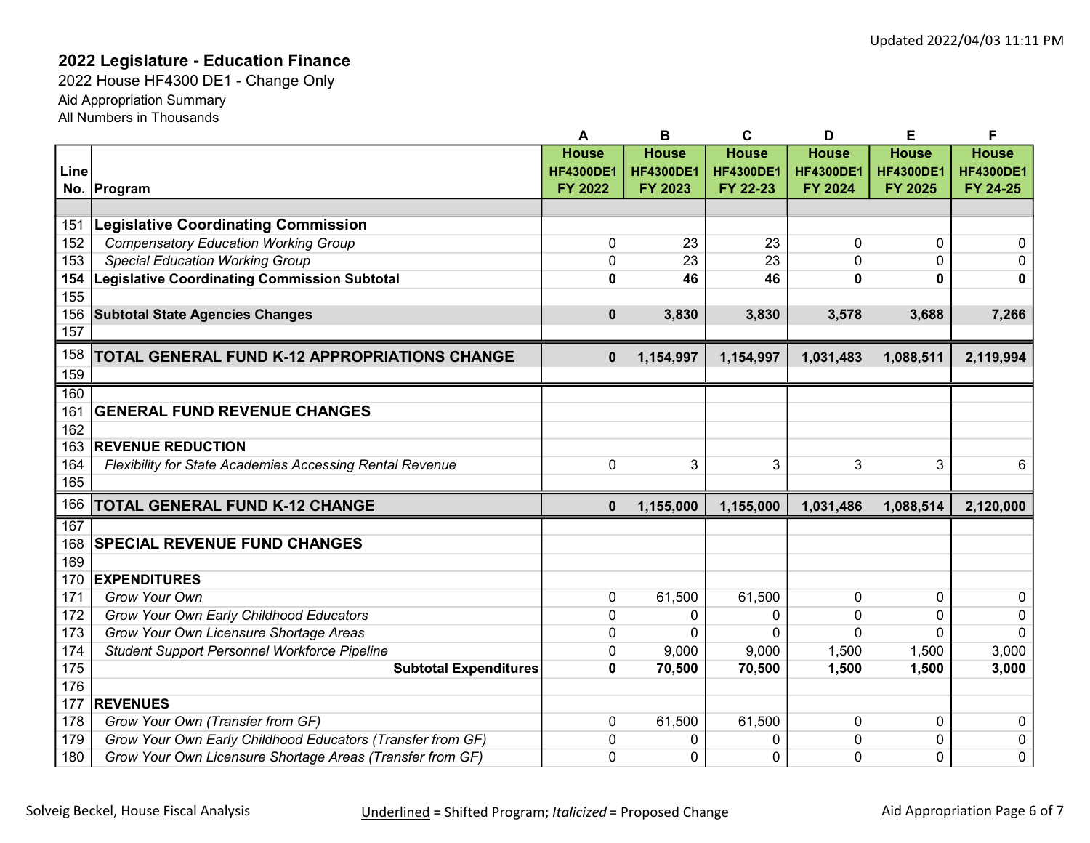|      |                                                            | A                | B                | C                | D                | Е                | F                |
|------|------------------------------------------------------------|------------------|------------------|------------------|------------------|------------------|------------------|
|      |                                                            | <b>House</b>     | <b>House</b>     | <b>House</b>     | <b>House</b>     | <b>House</b>     | <b>House</b>     |
| Line |                                                            | <b>HF4300DE1</b> | <b>HF4300DE1</b> | <b>HF4300DE1</b> | <b>HF4300DE1</b> | <b>HF4300DE1</b> | <b>HF4300DE1</b> |
|      | No. Program                                                | <b>FY 2022</b>   | FY 2023          | FY 22-23         | FY 2024          | FY 2025          | FY 24-25         |
|      |                                                            |                  |                  |                  |                  |                  |                  |
| 151  | <b>Legislative Coordinating Commission</b>                 |                  |                  |                  |                  |                  |                  |
| 152  | <b>Compensatory Education Working Group</b>                | $\pmb{0}$        | 23               | 23               | $\mathbf 0$      | $\mathbf 0$      | 0                |
| 153  | <b>Special Education Working Group</b>                     | $\mathbf 0$      | 23               | 23               | $\mathbf 0$      | $\mathbf{0}$     | 0                |
| 154  | Legislative Coordinating Commission Subtotal               | 0                | 46               | 46               | $\mathbf{0}$     | 0                | 0                |
| 155  |                                                            |                  |                  |                  |                  |                  |                  |
| 156  | <b>Subtotal State Agencies Changes</b>                     | $\pmb{0}$        | 3,830            | 3,830            | 3,578            | 3,688            | 7,266            |
| 157  |                                                            |                  |                  |                  |                  |                  |                  |
| 158  | <b>TOTAL GENERAL FUND K-12 APPROPRIATIONS CHANGE</b>       | $\mathbf 0$      | 1,154,997        | 1,154,997        | 1,031,483        | 1,088,511        | 2,119,994        |
| 159  |                                                            |                  |                  |                  |                  |                  |                  |
| 160  |                                                            |                  |                  |                  |                  |                  |                  |
| 161  | <b>GENERAL FUND REVENUE CHANGES</b>                        |                  |                  |                  |                  |                  |                  |
| 162  |                                                            |                  |                  |                  |                  |                  |                  |
| 163  | <b>REVENUE REDUCTION</b>                                   |                  |                  |                  |                  |                  |                  |
| 164  | Flexibility for State Academies Accessing Rental Revenue   | $\mathbf 0$      | 3                | 3                | 3                | 3                | 6                |
| 165  |                                                            |                  |                  |                  |                  |                  |                  |
| 166  | <b>TOTAL GENERAL FUND K-12 CHANGE</b>                      | $\mathbf 0$      | 1,155,000        | 1,155,000        | 1,031,486        | 1,088,514        | 2,120,000        |
| 167  |                                                            |                  |                  |                  |                  |                  |                  |
| 168  | <b>SPECIAL REVENUE FUND CHANGES</b>                        |                  |                  |                  |                  |                  |                  |
| 169  |                                                            |                  |                  |                  |                  |                  |                  |
| 170  | <b>EXPENDITURES</b>                                        |                  |                  |                  |                  |                  |                  |
| 171  | Grow Your Own                                              | $\pmb{0}$        | 61,500           | 61,500           | $\mathbf 0$      | 0                | 0                |
| 172  | Grow Your Own Early Childhood Educators                    | $\mathbf 0$      | $\mathbf{0}$     | 0                | $\mathbf 0$      | 0                | 0                |
| 173  | Grow Your Own Licensure Shortage Areas                     | $\mathbf 0$      | $\Omega$         | $\Omega$         | $\mathbf{0}$     | $\Omega$         | $\Omega$         |
| 174  | Student Support Personnel Workforce Pipeline               | 0                | 9,000            | 9,000            | 1,500            | 1,500            | 3,000            |
| 175  | <b>Subtotal Expenditures</b>                               | $\pmb{0}$        | 70,500           | 70,500           | 1,500            | 1,500            | 3,000            |
| 176  |                                                            |                  |                  |                  |                  |                  |                  |
| 177  | <b>REVENUES</b>                                            |                  |                  |                  |                  |                  |                  |
| 178  | Grow Your Own (Transfer from GF)                           | 0                | 61,500           | 61,500           | 0                | 0                | 0                |
| 179  | Grow Your Own Early Childhood Educators (Transfer from GF) | $\pmb{0}$        | 0                | 0                | $\mathbf 0$      | 0                | 0                |
| 180  | Grow Your Own Licensure Shortage Areas (Transfer from GF)  | $\mathbf 0$      | 0                | 0                | $\mathbf 0$      | 0                | $\overline{0}$   |